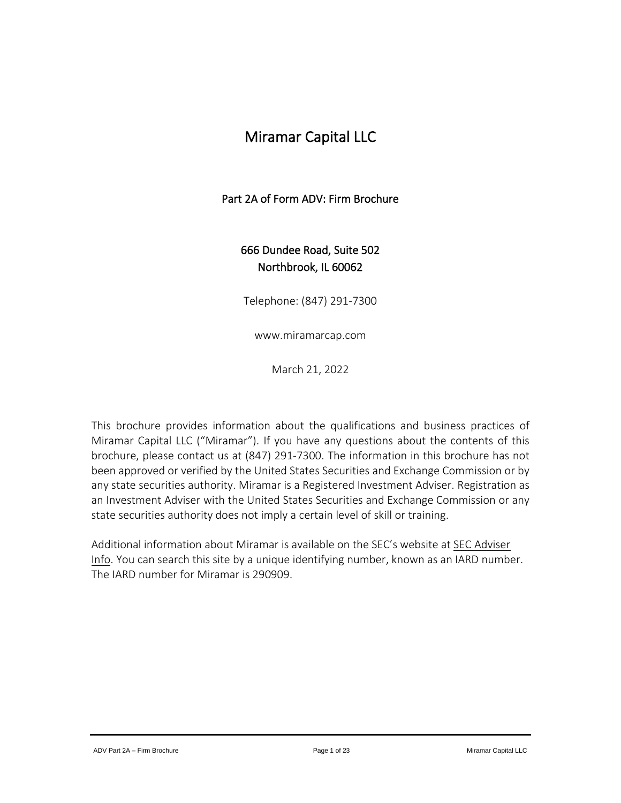# Miramar Capital LLC

# Part 2A of Form ADV: Firm Brochure

# 666 Dundee Road, Suite 502 Northbrook, IL 60062

Telephone: (847) 291-7300

www.miramarcap.com

March 21, 2022

This brochure provides information about the qualifications and business practices of Miramar Capital LLC ("Miramar"). If you have any questions about the contents of this brochure, please contact us at (847) 291-7300. The information in this brochure has not been approved or verified by the United States Securities and Exchange Commission or by any state securities authority. Miramar is a Registered Investment Adviser. Registration as an Investment Adviser with the United States Securities and Exchange Commission or any state securities authority does not imply a certain level of skill or training.

Additional information about Miramar is available on the SEC's website at **SEC [Adviser](http://www.adviserinfo.sec.gov/)** [Info.](http://www.adviserinfo.sec.gov/) You can search this site by a unique identifying number, known as an IARD number. The IARD number for Miramar is 290909.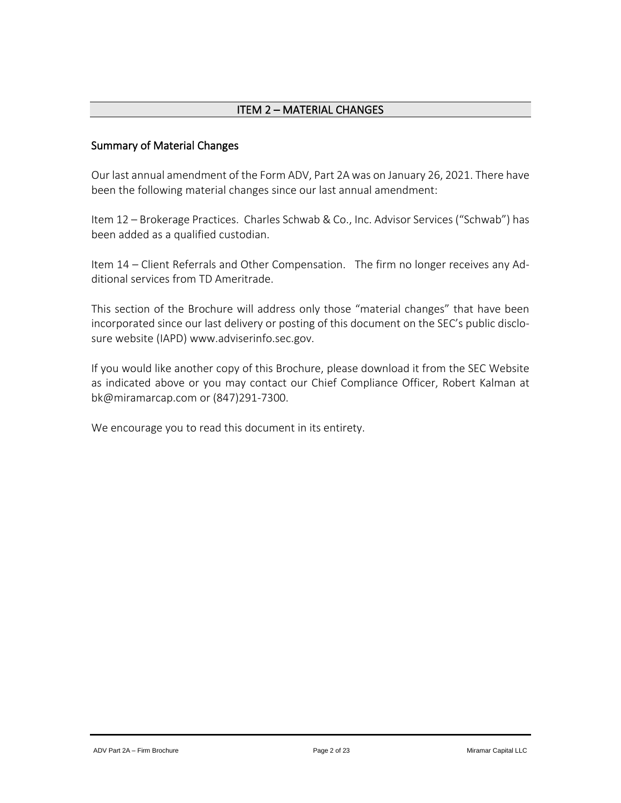# ITEM 2 – MATERIAL CHANGES

# <span id="page-1-0"></span>Summary of Material Changes

Our last annual amendment of the Form ADV, Part 2A was on January 26, 2021. There have been the following material changes since our last annual amendment:

Item 12 – Brokerage Practices. Charles Schwab & Co., Inc. Advisor Services ("Schwab") has been added as a qualified custodian.

Item 14 – Client Referrals and Other Compensation. The firm no longer receives any Additional services from TD Ameritrade.

This section of the Brochure will address only those "material changes" that have been incorporated since our last delivery or posting of this document on the SEC's public disclosure website (IAPD) www.adviserinfo.sec.gov.

If you would like another copy of this Brochure, please download it from the SEC Website as indicated above or you may contact our Chief Compliance Officer, Robert Kalman at bk@miramarcap.com or (847)291-7300.

We encourage you to read this document in its entirety.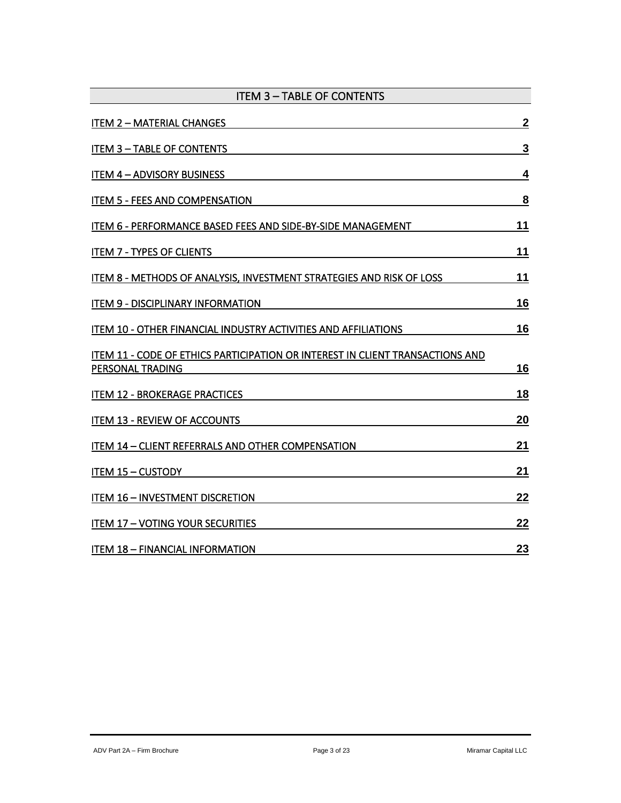<span id="page-2-0"></span>

| <b>ITEM 3 - TABLE OF CONTENTS</b>                                                                 |                |
|---------------------------------------------------------------------------------------------------|----------------|
| <b>ITEM 2 - MATERIAL CHANGES</b>                                                                  | $\overline{2}$ |
| <b>ITEM 3 - TABLE OF CONTENTS</b>                                                                 | $\mathbf{3}$   |
| <b>ITEM 4-ADVISORY BUSINESS</b>                                                                   | 4              |
| <b>ITEM 5 - FEES AND COMPENSATION</b>                                                             | 8              |
| ITEM 6 - PERFORMANCE BASED FEES AND SIDE-BY-SIDE MANAGEMENT                                       | 11             |
| <b>ITEM 7 - TYPES OF CLIENTS</b>                                                                  | 11             |
| ITEM 8 - METHODS OF ANALYSIS, INVESTMENT STRATEGIES AND RISK OF LOSS                              | 11             |
| <b>ITEM 9 - DISCIPLINARY INFORMATION</b>                                                          | 16             |
| ITEM 10 - OTHER FINANCIAL INDUSTRY ACTIVITIES AND AFFILIATIONS                                    | 16             |
| ITEM 11 - CODE OF ETHICS PARTICIPATION OR INTEREST IN CLIENT TRANSACTIONS AND<br>PERSONAL TRADING | <u>16</u>      |
| <b>ITEM 12 - BROKERAGE PRACTICES</b>                                                              | 18             |
| <b>ITEM 13 - REVIEW OF ACCOUNTS</b>                                                               | 20             |
| ITEM 14 - CLIENT REFERRALS AND OTHER COMPENSATION                                                 | 21             |
| ITEM 15 - CUSTODY                                                                                 | 21             |
| <b>ITEM 16 - INVESTMENT DISCRETION</b>                                                            | 22             |
| <b>ITEM 17 - VOTING YOUR SECURITIES</b>                                                           | 22             |
| <b>ITEM 18 - FINANCIAL INFORMATION</b>                                                            | 23             |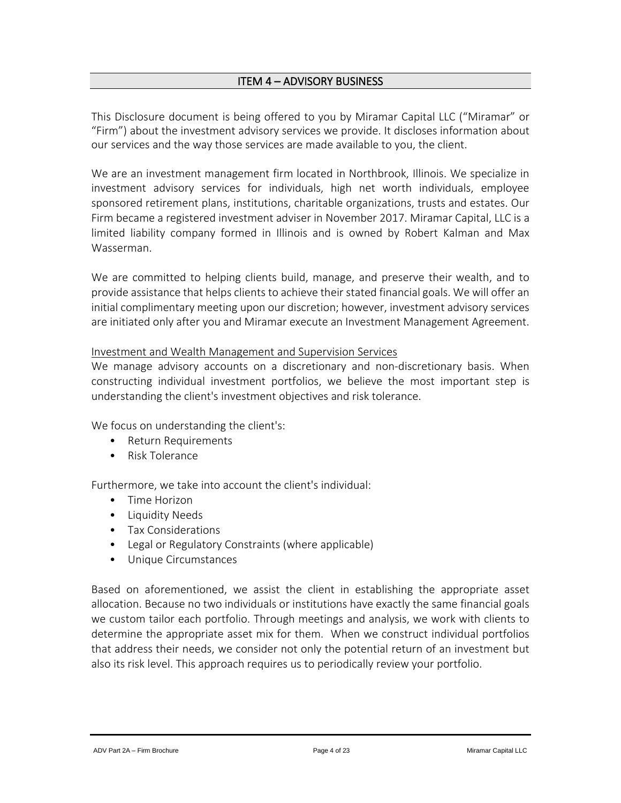# ITEM 4 – ADVISORY BUSINESS

<span id="page-3-0"></span>This Disclosure document is being offered to you by Miramar Capital LLC ("Miramar" or "Firm") about the investment advisory services we provide. It discloses information about our services and the way those services are made available to you, the client.

We are an investment management firm located in Northbrook, Illinois. We specialize in investment advisory services for individuals, high net worth individuals, employee sponsored retirement plans, institutions, charitable organizations, trusts and estates. Our Firm became a registered investment adviser in November 2017. Miramar Capital, LLC is a limited liability company formed in Illinois and is owned by Robert Kalman and Max Wasserman.

We are committed to helping clients build, manage, and preserve their wealth, and to provide assistance that helps clients to achieve their stated financial goals. We will offer an initial complimentary meeting upon our discretion; however, investment advisory services are initiated only after you and Miramar execute an Investment Management Agreement.

#### Investment and Wealth Management and Supervision Services

We manage advisory accounts on a discretionary and non-discretionary basis. When constructing individual investment portfolios, we believe the most important step is understanding the client's investment objectives and risk tolerance.

We focus on understanding the client's:

- Return Requirements
- Risk Tolerance

Furthermore, we take into account the client's individual:

- Time Horizon
- Liquidity Needs
- Tax Considerations
- Legal or Regulatory Constraints (where applicable)
- Unique Circumstances

Based on aforementioned, we assist the client in establishing the appropriate asset allocation. Because no two individuals or institutions have exactly the same financial goals we custom tailor each portfolio. Through meetings and analysis, we work with clients to determine the appropriate asset mix for them. When we construct individual portfolios that address their needs, we consider not only the potential return of an investment but also its risk level. This approach requires us to periodically review your portfolio.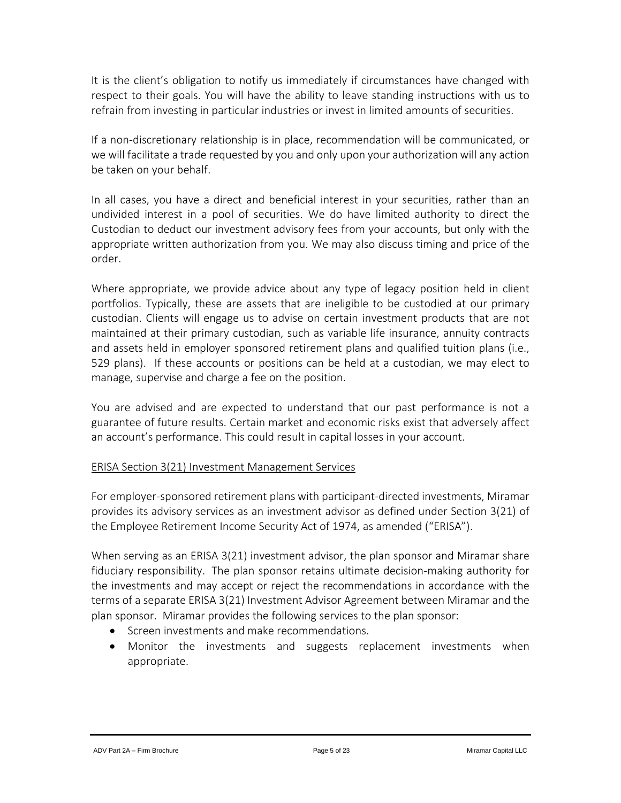It is the client's obligation to notify us immediately if circumstances have changed with respect to their goals. You will have the ability to leave standing instructions with us to refrain from investing in particular industries or invest in limited amounts of securities.

If a non-discretionary relationship is in place, recommendation will be communicated, or we will facilitate a trade requested by you and only upon your authorization will any action be taken on your behalf.

In all cases, you have a direct and beneficial interest in your securities, rather than an undivided interest in a pool of securities. We do have limited authority to direct the Custodian to deduct our investment advisory fees from your accounts, but only with the appropriate written authorization from you. We may also discuss timing and price of the order.

Where appropriate, we provide advice about any type of legacy position held in client portfolios. Typically, these are assets that are ineligible to be custodied at our primary custodian. Clients will engage us to advise on certain investment products that are not maintained at their primary custodian, such as variable life insurance, annuity contracts and assets held in employer sponsored retirement plans and qualified tuition plans (i.e., 529 plans). If these accounts or positions can be held at a custodian, we may elect to manage, supervise and charge a fee on the position.

You are advised and are expected to understand that our past performance is not a guarantee of future results. Certain market and economic risks exist that adversely affect an account's performance. This could result in capital losses in your account.

# ERISA Section 3(21) Investment Management Services

For employer-sponsored retirement plans with participant-directed investments, Miramar provides its advisory services as an investment advisor as defined under Section 3(21) of the Employee Retirement Income Security Act of 1974, as amended ("ERISA").

When serving as an ERISA 3(21) investment advisor, the plan sponsor and Miramar share fiduciary responsibility. The plan sponsor retains ultimate decision-making authority for the investments and may accept or reject the recommendations in accordance with the terms of a separate ERISA 3(21) Investment Advisor Agreement between Miramar and the plan sponsor. Miramar provides the following services to the plan sponsor:

- Screen investments and make recommendations.
- Monitor the investments and suggests replacement investments when appropriate.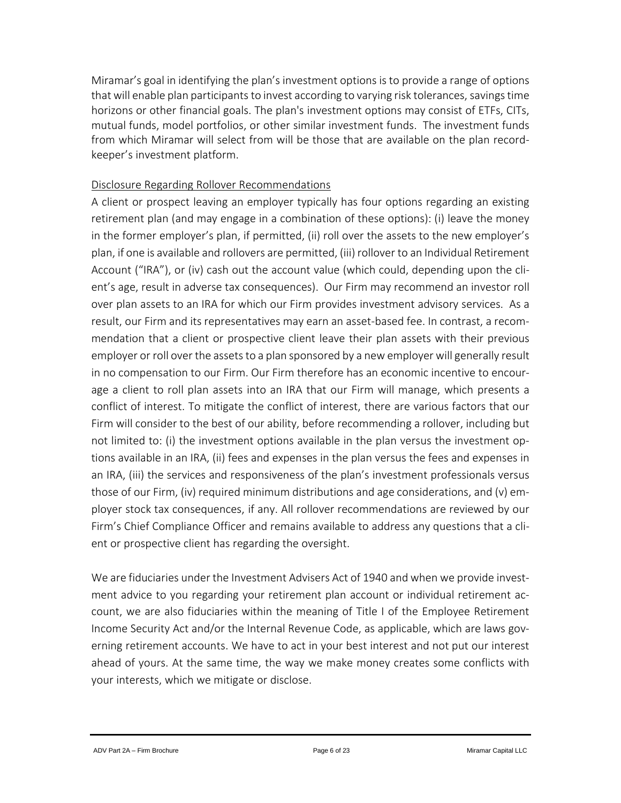Miramar's goal in identifying the plan's investment options is to provide a range of options that will enable plan participants to invest according to varying risk tolerances, savings time horizons or other financial goals. The plan's investment options may consist of ETFs, CITs, mutual funds, model portfolios, or other similar investment funds. The investment funds from which Miramar will select from will be those that are available on the plan recordkeeper's investment platform.

## Disclosure Regarding Rollover Recommendations

A client or prospect leaving an employer typically has four options regarding an existing retirement plan (and may engage in a combination of these options): (i) leave the money in the former employer's plan, if permitted, (ii) roll over the assets to the new employer's plan, if one is available and rollovers are permitted, (iii) rollover to an Individual Retirement Account ("IRA"), or (iv) cash out the account value (which could, depending upon the client's age, result in adverse tax consequences). Our Firm may recommend an investor roll over plan assets to an IRA for which our Firm provides investment advisory services. As a result, our Firm and its representatives may earn an asset-based fee. In contrast, a recommendation that a client or prospective client leave their plan assets with their previous employer or roll over the assets to a plan sponsored by a new employer will generally result in no compensation to our Firm. Our Firm therefore has an economic incentive to encourage a client to roll plan assets into an IRA that our Firm will manage, which presents a conflict of interest. To mitigate the conflict of interest, there are various factors that our Firm will consider to the best of our ability, before recommending a rollover, including but not limited to: (i) the investment options available in the plan versus the investment options available in an IRA, (ii) fees and expenses in the plan versus the fees and expenses in an IRA, (iii) the services and responsiveness of the plan's investment professionals versus those of our Firm, (iv) required minimum distributions and age considerations, and (v) employer stock tax consequences, if any. All rollover recommendations are reviewed by our Firm's Chief Compliance Officer and remains available to address any questions that a client or prospective client has regarding the oversight.

We are fiduciaries under the Investment Advisers Act of 1940 and when we provide investment advice to you regarding your retirement plan account or individual retirement account, we are also fiduciaries within the meaning of Title I of the Employee Retirement Income Security Act and/or the Internal Revenue Code, as applicable, which are laws governing retirement accounts. We have to act in your best interest and not put our interest ahead of yours. At the same time, the way we make money creates some conflicts with your interests, which we mitigate or disclose.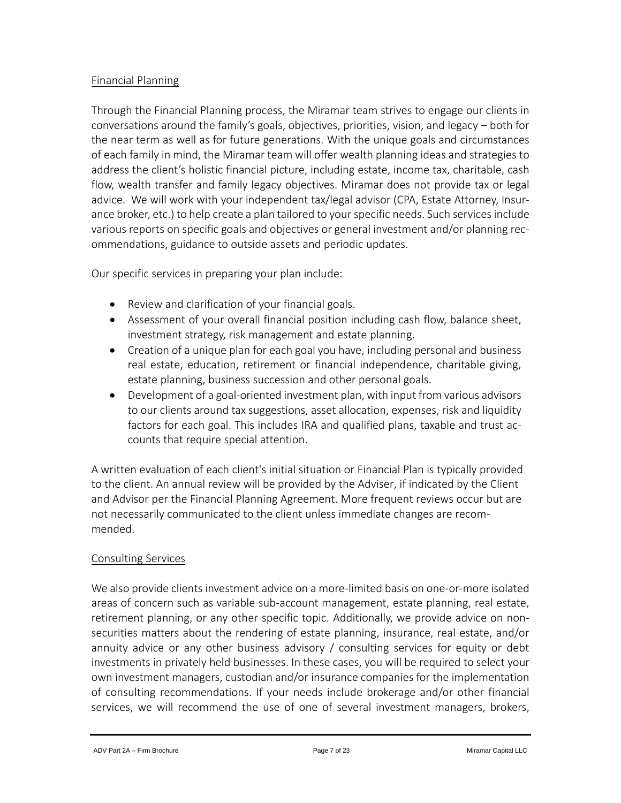## Financial Planning

Through the Financial Planning process, the Miramar team strives to engage our clients in conversations around the family's goals, objectives, priorities, vision, and legacy – both for the near term as well as for future generations. With the unique goals and circumstances of each family in mind, the Miramar team will offer wealth planning ideas and strategies to address the client's holistic financial picture, including estate, income tax, charitable, cash flow, wealth transfer and family legacy objectives. Miramar does not provide tax or legal advice. We will work with your independent tax/legal advisor (CPA, Estate Attorney, Insurance broker, etc.) to help create a plan tailored to your specific needs. Such services include various reports on specific goals and objectives or general investment and/or planning recommendations, guidance to outside assets and periodic updates.

Our specific services in preparing your plan include:

- Review and clarification of your financial goals.
- Assessment of your overall financial position including cash flow, balance sheet, investment strategy, risk management and estate planning.
- Creation of a unique plan for each goal you have, including personal and business real estate, education, retirement or financial independence, charitable giving, estate planning, business succession and other personal goals.
- Development of a goal-oriented investment plan, with input from various advisors to our clients around tax suggestions, asset allocation, expenses, risk and liquidity factors for each goal. This includes IRA and qualified plans, taxable and trust accounts that require special attention.

A written evaluation of each client's initial situation or Financial Plan is typically provided to the client. An annual review will be provided by the Adviser, if indicated by the Client and Advisor per the Financial Planning Agreement. More frequent reviews occur but are not necessarily communicated to the client unless immediate changes are recommended.

# Consulting Services

We also provide clients investment advice on a more-limited basis on one-or-more isolated areas of concern such as variable sub-account management, estate planning, real estate, retirement planning, or any other specific topic. Additionally, we provide advice on nonsecurities matters about the rendering of estate planning, insurance, real estate, and/or annuity advice or any other business advisory / consulting services for equity or debt investments in privately held businesses. In these cases, you will be required to select your own investment managers, custodian and/or insurance companies for the implementation of consulting recommendations. If your needs include brokerage and/or other financial services, we will recommend the use of one of several investment managers, brokers,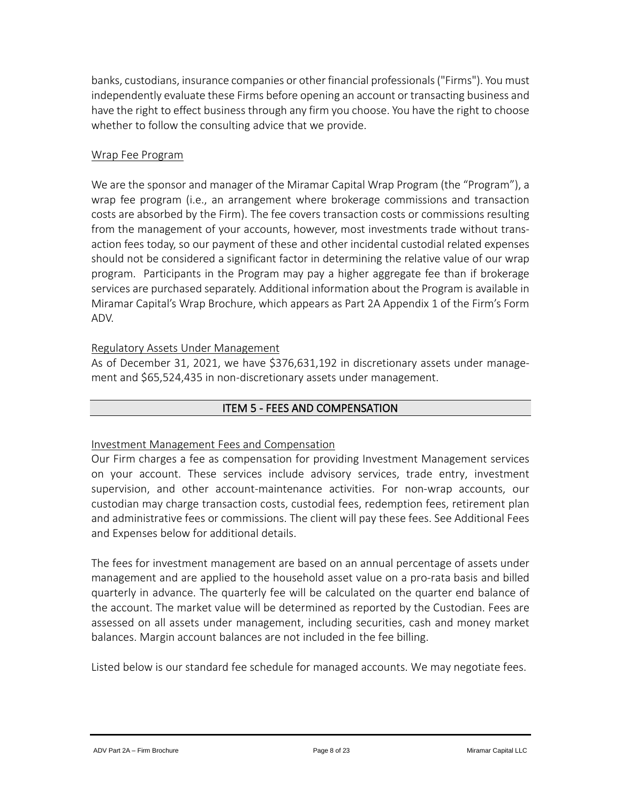banks, custodians, insurance companies or other financial professionals("Firms"). You must independently evaluate these Firms before opening an account or transacting business and have the right to effect business through any firm you choose. You have the right to choose whether to follow the consulting advice that we provide.

## Wrap Fee Program

We are the sponsor and manager of the Miramar Capital Wrap Program (the "Program"), a wrap fee program (i.e., an arrangement where brokerage commissions and transaction costs are absorbed by the Firm). The fee covers transaction costs or commissions resulting from the management of your accounts, however, most investments trade without transaction fees today, so our payment of these and other incidental custodial related expenses should not be considered a significant factor in determining the relative value of our wrap program. Participants in the Program may pay a higher aggregate fee than if brokerage services are purchased separately. Additional information about the Program is available in Miramar Capital's Wrap Brochure, which appears as Part 2A Appendix 1 of the Firm's Form ADV.

# Regulatory Assets Under Management

As of December 31, 2021, we have \$376,631,192 in discretionary assets under management and \$65,524,435 in non-discretionary assets under management.

## ITEM 5 - FEES AND COMPENSATION

#### <span id="page-7-0"></span>Investment Management Fees and Compensation

Our Firm charges a fee as compensation for providing Investment Management services on your account. These services include advisory services, trade entry, investment supervision, and other account-maintenance activities. For non-wrap accounts, our custodian may charge transaction costs, custodial fees, redemption fees, retirement plan and administrative fees or commissions. The client will pay these fees. See Additional Fees and Expenses below for additional details.

The fees for investment management are based on an annual percentage of assets under management and are applied to the household asset value on a pro-rata basis and billed quarterly in advance. The quarterly fee will be calculated on the quarter end balance of the account. The market value will be determined as reported by the Custodian. Fees are assessed on all assets under management, including securities, cash and money market balances. Margin account balances are not included in the fee billing.

Listed below is our standard fee schedule for managed accounts. We may negotiate fees.

ADV Part 2A – Firm Brochure **Page 8 of 23** Page 8 of 23 Miramar Capital LLC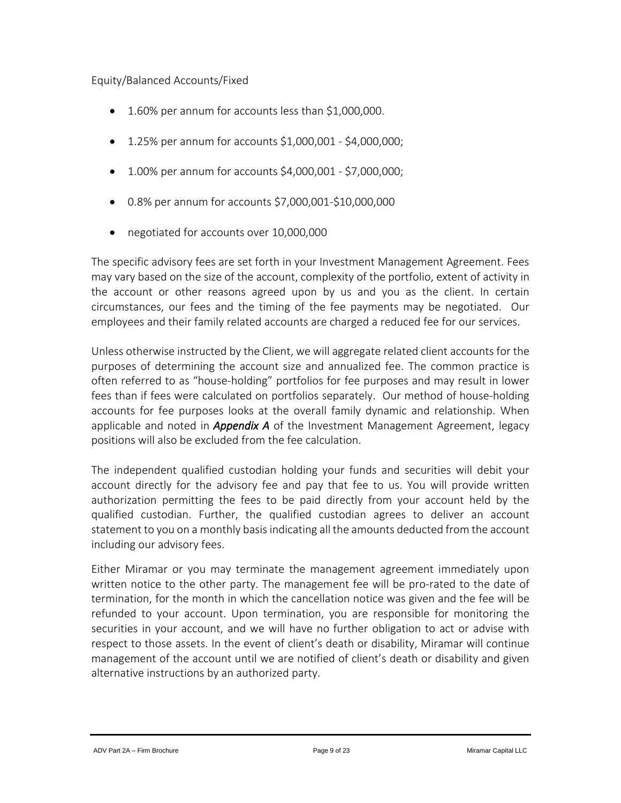## Equity/Balanced Accounts/Fixed

- 1.60% per annum for accounts less than \$1,000,000.
- 1.25% per annum for accounts \$1,000,001 \$4,000,000;
- 1.00% per annum for accounts \$4,000,001 \$7,000,000;
- 0.8% per annum for accounts \$7,000,001-\$10,000,000
- negotiated for accounts over 10,000,000

The specific advisory fees are set forth in your Investment Management Agreement. Fees may vary based on the size of the account, complexity of the portfolio, extent of activity in the account or other reasons agreed upon by us and you as the client. In certain circumstances, our fees and the timing of the fee payments may be negotiated. Our employees and their family related accounts are charged a reduced fee for our services.

Unless otherwise instructed by the Client, we will aggregate related client accounts for the purposes of determining the account size and annualized fee. The common practice is often referred to as "house-holding" portfolios for fee purposes and may result in lower fees than if fees were calculated on portfolios separately. Our method of house-holding accounts for fee purposes looks at the overall family dynamic and relationship. When applicable and noted in *Appendix A* of the Investment Management Agreement, legacy positions will also be excluded from the fee calculation.

The independent qualified custodian holding your funds and securities will debit your account directly for the advisory fee and pay that fee to us. You will provide written authorization permitting the fees to be paid directly from your account held by the qualified custodian. Further, the qualified custodian agrees to deliver an account statement to you on a monthly basis indicating all the amounts deducted from the account including our advisory fees.

Either Miramar or you may terminate the management agreement immediately upon written notice to the other party. The management fee will be pro-rated to the date of termination, for the month in which the cancellation notice was given and the fee will be refunded to your account. Upon termination, you are responsible for monitoring the securities in your account, and we will have no further obligation to act or advise with respect to those assets. In the event of client's death or disability, Miramar will continue management of the account until we are notified of client's death or disability and given alternative instructions by an authorized party.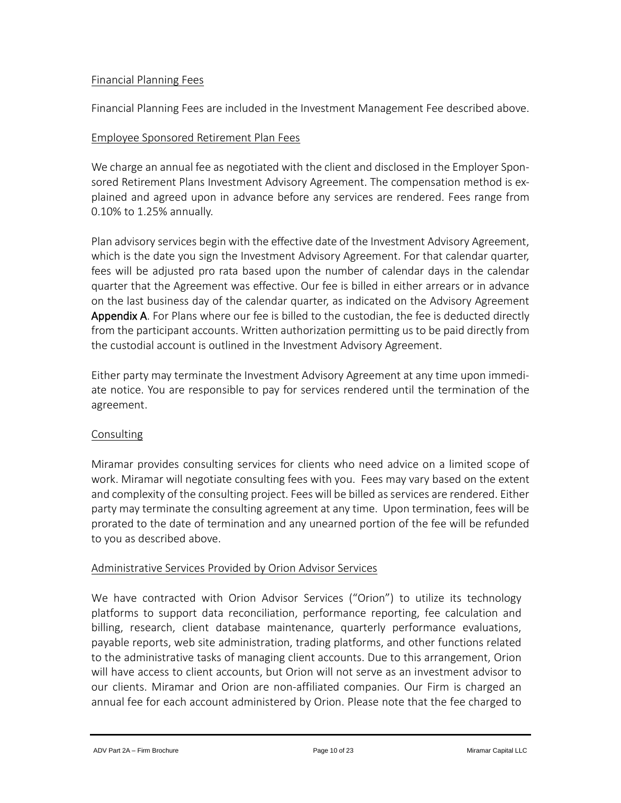#### Financial Planning Fees

Financial Planning Fees are included in the Investment Management Fee described above.

## Employee Sponsored Retirement Plan Fees

We charge an annual fee as negotiated with the client and disclosed in the Employer Sponsored Retirement Plans Investment Advisory Agreement. The compensation method is explained and agreed upon in advance before any services are rendered. Fees range from 0.10% to 1.25% annually.

Plan advisory services begin with the effective date of the Investment Advisory Agreement, which is the date you sign the Investment Advisory Agreement. For that calendar quarter, fees will be adjusted pro rata based upon the number of calendar days in the calendar quarter that the Agreement was effective. Our fee is billed in either arrears or in advance on the last business day of the calendar quarter, as indicated on the Advisory Agreement Appendix A. For Plans where our fee is billed to the custodian, the fee is deducted directly from the participant accounts. Written authorization permitting us to be paid directly from the custodial account is outlined in the Investment Advisory Agreement.

Either party may terminate the Investment Advisory Agreement at any time upon immediate notice. You are responsible to pay for services rendered until the termination of the agreement.

#### **Consulting**

Miramar provides consulting services for clients who need advice on a limited scope of work. Miramar will negotiate consulting fees with you. Fees may vary based on the extent and complexity of the consulting project. Fees will be billed as services are rendered. Either party may terminate the consulting agreement at any time. Upon termination, fees will be prorated to the date of termination and any unearned portion of the fee will be refunded to you as described above.

#### Administrative Services Provided by Orion Advisor Services

We have contracted with Orion Advisor Services ("Orion") to utilize its technology platforms to support data reconciliation, performance reporting, fee calculation and billing, research, client database maintenance, quarterly performance evaluations, payable reports, web site administration, trading platforms, and other functions related to the administrative tasks of managing client accounts. Due to this arrangement, Orion will have access to client accounts, but Orion will not serve as an investment advisor to our clients. Miramar and Orion are non-affiliated companies. Our Firm is charged an annual fee for each account administered by Orion. Please note that the fee charged to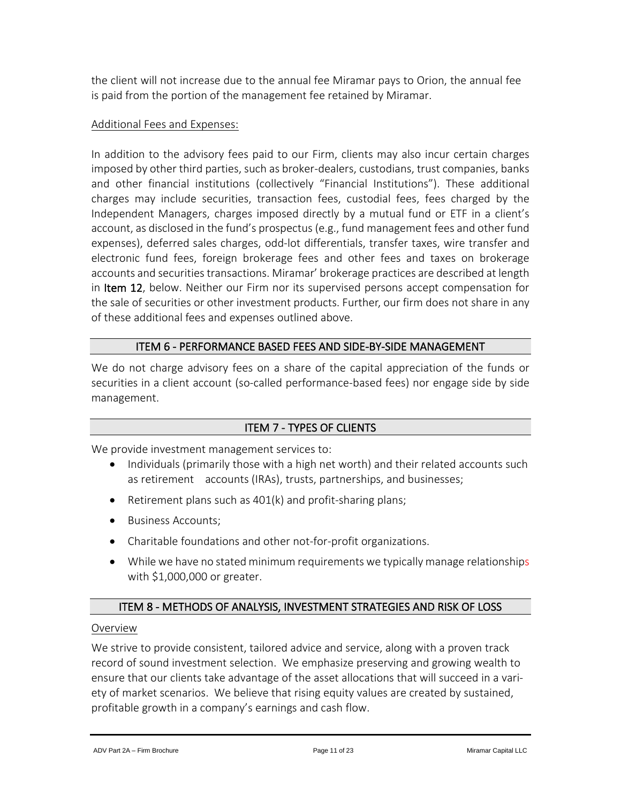the client will not increase due to the annual fee Miramar pays to Orion, the annual fee is paid from the portion of the management fee retained by Miramar.

# Additional Fees and Expenses:

In addition to the advisory fees paid to our Firm, clients may also incur certain charges imposed by other third parties, such as broker-dealers, custodians, trust companies, banks and other financial institutions (collectively "Financial Institutions"). These additional charges may include securities, transaction fees, custodial fees, fees charged by the Independent Managers, charges imposed directly by a mutual fund or ETF in a client's account, as disclosed in the fund's prospectus (e.g., fund management fees and other fund expenses), deferred sales charges, odd-lot differentials, transfer taxes, wire transfer and electronic fund fees, foreign brokerage fees and other fees and taxes on brokerage accounts and securities transactions. Miramar' brokerage practices are described at length in Item 12, below. Neither our Firm nor its supervised persons accept compensation for the sale of securities or other investment products. Further, our firm does not share in any of these additional fees and expenses outlined above.

# ITEM 6 - PERFORMANCE BASED FEES AND SIDE-BY-SIDE MANAGEMENT

<span id="page-10-0"></span>We do not charge advisory fees on a share of the capital appreciation of the funds or securities in a client account (so-called performance-based fees) nor engage side by side management.

# ITEM 7 - TYPES OF CLIENTS

<span id="page-10-1"></span>We provide investment management services to:

- Individuals (primarily those with a high net worth) and their related accounts such as retirement accounts (IRAs), trusts, partnerships, and businesses;
- Retirement plans such as 401(k) and profit-sharing plans;
- Business Accounts;
- Charitable foundations and other not-for-profit organizations.
- While we have no stated minimum requirements we typically manage relationships with \$1,000,000 or greater.

# ITEM 8 - METHODS OF ANALYSIS, INVESTMENT STRATEGIES AND RISK OF LOSS

#### <span id="page-10-2"></span>Overview

We strive to provide consistent, tailored advice and service, along with a proven track record of sound investment selection. We emphasize preserving and growing wealth to ensure that our clients take advantage of the asset allocations that will succeed in a variety of market scenarios. We believe that rising equity values are created by sustained, profitable growth in a company's earnings and cash flow.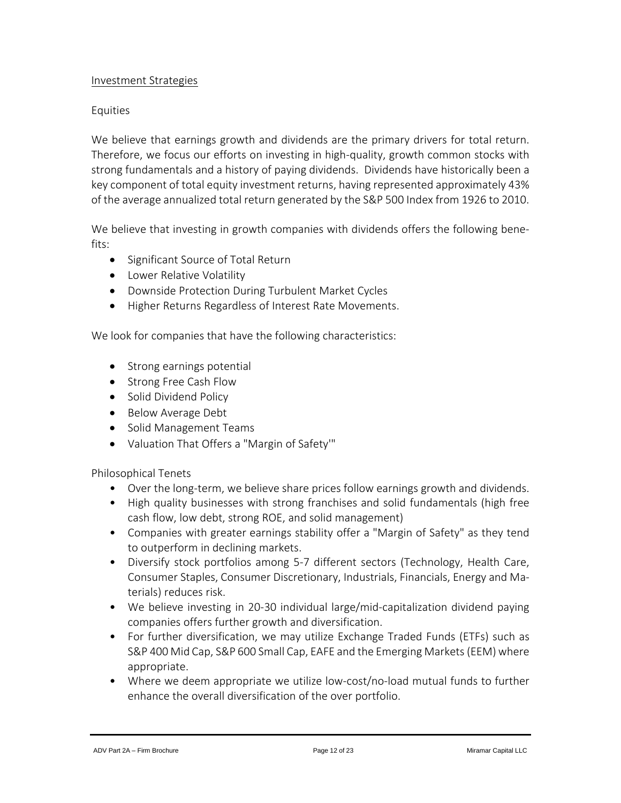#### Investment Strategies

#### Equities

We believe that earnings growth and dividends are the primary drivers for total return. Therefore, we focus our efforts on investing in high-quality, growth common stocks with strong fundamentals and a history of paying dividends. Dividends have historically been a key component of total equity investment returns, having represented approximately 43% of the average annualized total return generated by the S&P 500 Index from 1926 to 2010.

We believe that investing in growth companies with dividends offers the following benefits:

- Significant Source of Total Return
- Lower Relative Volatility
- Downside Protection During Turbulent Market Cycles
- Higher Returns Regardless of Interest Rate Movements.

We look for companies that have the following characteristics:

- Strong earnings potential
- Strong Free Cash Flow
- Solid Dividend Policy
- Below Average Debt
- Solid Management Teams
- Valuation That Offers a "Margin of Safety'"

Philosophical Tenets

- Over the long-term, we believe share prices follow earnings growth and dividends.
- High quality businesses with strong franchises and solid fundamentals (high free cash flow, low debt, strong ROE, and solid management)
- Companies with greater earnings stability offer a "Margin of Safety" as they tend to outperform in declining markets.
- Diversify stock portfolios among 5-7 different sectors (Technology, Health Care, Consumer Staples, Consumer Discretionary, Industrials, Financials, Energy and Materials) reduces risk.
- We believe investing in 20-30 individual large/mid-capitalization dividend paying companies offers further growth and diversification.
- For further diversification, we may utilize Exchange Traded Funds (ETFs) such as S&P 400 Mid Cap, S&P 600 Small Cap, EAFE and the Emerging Markets (EEM) where appropriate.
- Where we deem appropriate we utilize low-cost/no-load mutual funds to further enhance the overall diversification of the over portfolio.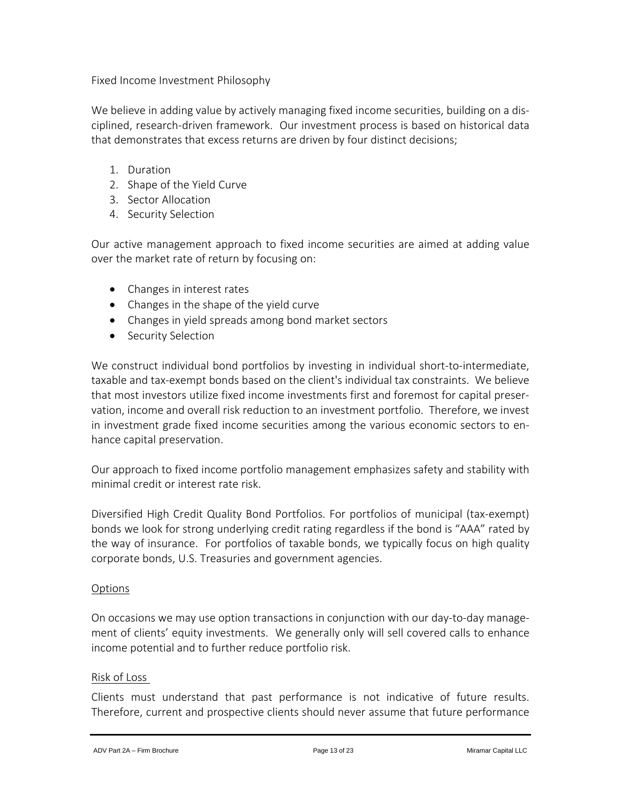Fixed Income Investment Philosophy

We believe in adding value by actively managing fixed income securities, building on a disciplined, research-driven framework. Our investment process is based on historical data that demonstrates that excess returns are driven by four distinct decisions;

- 1. Duration
- 2. Shape of the Yield Curve
- 3. Sector Allocation
- 4. Security Selection

Our active management approach to fixed income securities are aimed at adding value over the market rate of return by focusing on:

- Changes in interest rates
- Changes in the shape of the yield curve
- Changes in yield spreads among bond market sectors
- Security Selection

We construct individual bond portfolios by investing in individual short-to-intermediate, taxable and tax-exempt bonds based on the client's individual tax constraints. We believe that most investors utilize fixed income investments first and foremost for capital preservation, income and overall risk reduction to an investment portfolio. Therefore, we invest in investment grade fixed income securities among the various economic sectors to enhance capital preservation.

Our approach to fixed income portfolio management emphasizes safety and stability with minimal credit or interest rate risk.

Diversified High Credit Quality Bond Portfolios. For portfolios of municipal (tax-exempt) bonds we look for strong underlying credit rating regardless if the bond is "AAA" rated by the way of insurance. For portfolios of taxable bonds, we typically focus on high quality corporate bonds, U.S. Treasuries and government agencies.

# **Options**

On occasions we may use option transactions in conjunction with our day-to-day management of clients' equity investments. We generally only will sell covered calls to enhance income potential and to further reduce portfolio risk.

#### Risk of Loss

Clients must understand that past performance is not indicative of future results. Therefore, current and prospective clients should never assume that future performance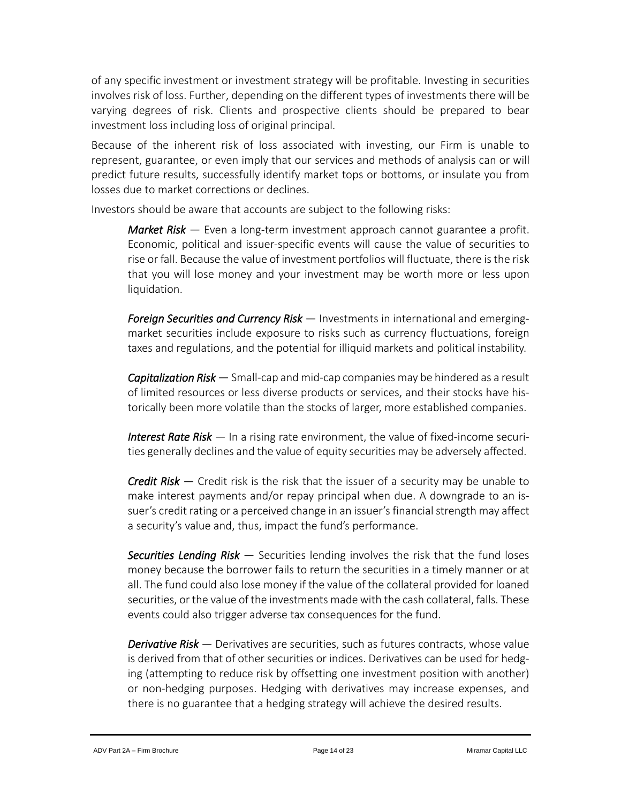of any specific investment or investment strategy will be profitable. Investing in securities involves risk of loss. Further, depending on the different types of investments there will be varying degrees of risk. Clients and prospective clients should be prepared to bear investment loss including loss of original principal.

Because of the inherent risk of loss associated with investing, our Firm is unable to represent, guarantee, or even imply that our services and methods of analysis can or will predict future results, successfully identify market tops or bottoms, or insulate you from losses due to market corrections or declines.

Investors should be aware that accounts are subject to the following risks:

*Market Risk* — Even a long-term investment approach cannot guarantee a profit. Economic, political and issuer-specific events will cause the value of securities to rise or fall. Because the value of investment portfolios will fluctuate, there isthe risk that you will lose money and your investment may be worth more or less upon liquidation.

*Foreign Securities and Currency Risk* — Investments in international and emergingmarket securities include exposure to risks such as currency fluctuations, foreign taxes and regulations, and the potential for illiquid markets and political instability.

*Capitalization Risk* — Small-cap and mid-cap companies may be hindered as a result of limited resources or less diverse products or services, and their stocks have historically been more volatile than the stocks of larger, more established companies.

*Interest Rate Risk* — In a rising rate environment, the value of fixed-income securities generally declines and the value of equity securities may be adversely affected.

*Credit Risk* — Credit risk is the risk that the issuer of a security may be unable to make interest payments and/or repay principal when due. A downgrade to an issuer's credit rating or a perceived change in an issuer's financial strength may affect a security's value and, thus, impact the fund's performance.

*Securities Lending Risk* — Securities lending involves the risk that the fund loses money because the borrower fails to return the securities in a timely manner or at all. The fund could also lose money if the value of the collateral provided for loaned securities, or the value of the investments made with the cash collateral, falls. These events could also trigger adverse tax consequences for the fund.

*Derivative Risk* — Derivatives are securities, such as futures contracts, whose value is derived from that of other securities or indices. Derivatives can be used for hedging (attempting to reduce risk by offsetting one investment position with another) or non-hedging purposes. Hedging with derivatives may increase expenses, and there is no guarantee that a hedging strategy will achieve the desired results.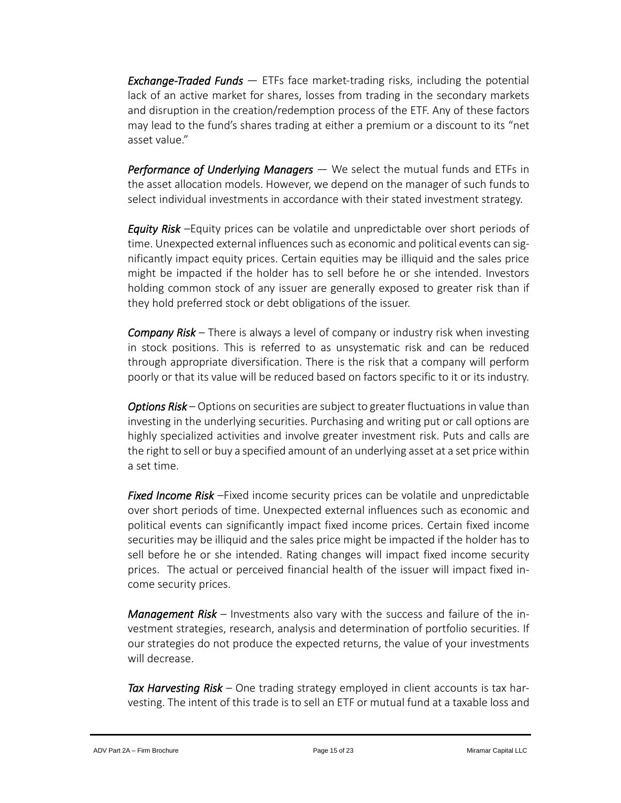*Exchange-Traded Funds* — ETFs face market-trading risks, including the potential lack of an active market for shares, losses from trading in the secondary markets and disruption in the creation/redemption process of the ETF. Any of these factors may lead to the fund's shares trading at either a premium or a discount to its "net asset value."

*Performance of Underlying Managers* — We select the mutual funds and ETFs in the asset allocation models. However, we depend on the manager of such funds to select individual investments in accordance with their stated investment strategy.

*Equity Risk* –Equity prices can be volatile and unpredictable over short periods of time. Unexpected external influences such as economic and political events can significantly impact equity prices. Certain equities may be illiquid and the sales price might be impacted if the holder has to sell before he or she intended. Investors holding common stock of any issuer are generally exposed to greater risk than if they hold preferred stock or debt obligations of the issuer.

*Company Risk* – There is always a level of company or industry risk when investing in stock positions. This is referred to as unsystematic risk and can be reduced through appropriate diversification. There is the risk that a company will perform poorly or that its value will be reduced based on factors specific to it or its industry.

*Options Risk* – Options on securities are subject to greater fluctuations in value than investing in the underlying securities. Purchasing and writing put or call options are highly specialized activities and involve greater investment risk. Puts and calls are the right to sell or buy a specified amount of an underlying asset at a set price within a set time.

*Fixed Income Risk* –Fixed income security prices can be volatile and unpredictable over short periods of time. Unexpected external influences such as economic and political events can significantly impact fixed income prices. Certain fixed income securities may be illiquid and the sales price might be impacted if the holder has to sell before he or she intended. Rating changes will impact fixed income security prices. The actual or perceived financial health of the issuer will impact fixed income security prices.

*Management Risk* – Investments also vary with the success and failure of the investment strategies, research, analysis and determination of portfolio securities. If our strategies do not produce the expected returns, the value of your investments will decrease.

*Tax Harvesting Risk –* One trading strategy employed in client accounts is tax harvesting. The intent of this trade is to sell an ETF or mutual fund at a taxable loss and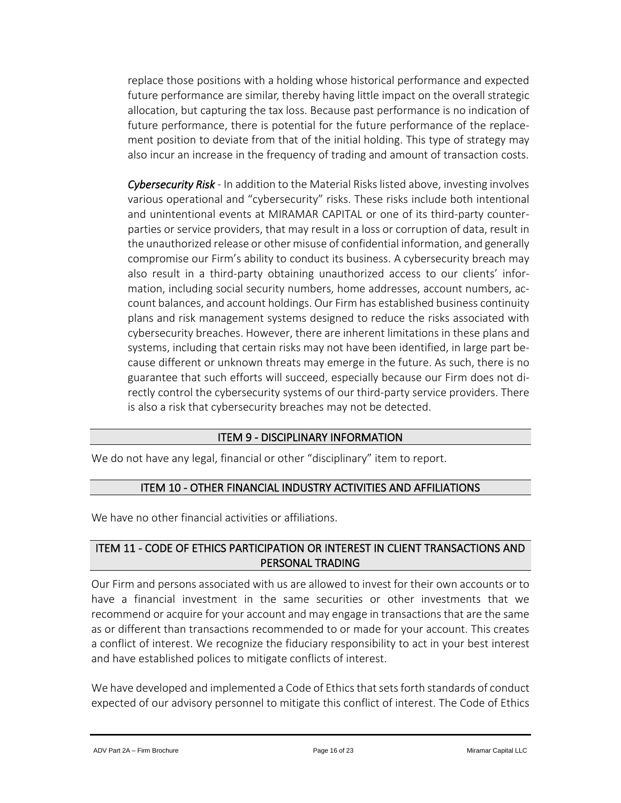replace those positions with a holding whose historical performance and expected future performance are similar, thereby having little impact on the overall strategic allocation, but capturing the tax loss. Because past performance is no indication of future performance, there is potential for the future performance of the replacement position to deviate from that of the initial holding. This type of strategy may also incur an increase in the frequency of trading and amount of transaction costs.

*Cybersecurity Risk* - In addition to the Material Risks listed above, investing involves various operational and "cybersecurity" risks. These risks include both intentional and unintentional events at MIRAMAR CAPITAL or one of its third-party counterparties or service providers, that may result in a loss or corruption of data, result in the unauthorized release or other misuse of confidential information, and generally compromise our Firm's ability to conduct its business. A cybersecurity breach may also result in a third-party obtaining unauthorized access to our clients' information, including social security numbers, home addresses, account numbers, account balances, and account holdings. Our Firm has established business continuity plans and risk management systems designed to reduce the risks associated with cybersecurity breaches. However, there are inherent limitations in these plans and systems, including that certain risks may not have been identified, in large part because different or unknown threats may emerge in the future. As such, there is no guarantee that such efforts will succeed, especially because our Firm does not directly control the cybersecurity systems of our third-party service providers. There is also a risk that cybersecurity breaches may not be detected.

#### ITEM 9 - DISCIPLINARY INFORMATION

<span id="page-15-1"></span><span id="page-15-0"></span>We do not have any legal, financial or other "disciplinary" item to report.

# ITEM 10 - OTHER FINANCIAL INDUSTRY ACTIVITIES AND AFFILIATIONS

We have no other financial activities or affiliations.

# <span id="page-15-2"></span>ITEM 11 - CODE OF ETHICS PARTICIPATION OR INTEREST IN CLIENT TRANSACTIONS AND PERSONAL TRADING

Our Firm and persons associated with us are allowed to invest for their own accounts or to have a financial investment in the same securities or other investments that we recommend or acquire for your account and may engage in transactions that are the same as or different than transactions recommended to or made for your account. This creates a conflict of interest. We recognize the fiduciary responsibility to act in your best interest and have established polices to mitigate conflicts of interest.

We have developed and implemented a Code of Ethics that sets forth standards of conduct expected of our advisory personnel to mitigate this conflict of interest. The Code of Ethics

ADV Part 2A – Firm Brochure **Page 16 of 23** Page 16 of 23 Miramar Capital LLC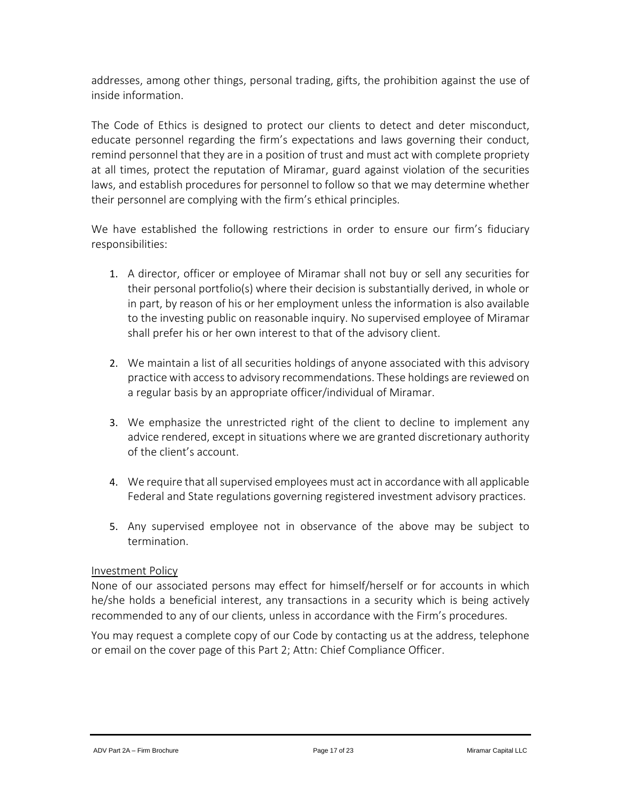addresses, among other things, personal trading, gifts, the prohibition against the use of inside information.

The Code of Ethics is designed to protect our clients to detect and deter misconduct, educate personnel regarding the firm's expectations and laws governing their conduct, remind personnel that they are in a position of trust and must act with complete propriety at all times, protect the reputation of Miramar, guard against violation of the securities laws, and establish procedures for personnel to follow so that we may determine whether their personnel are complying with the firm's ethical principles.

We have established the following restrictions in order to ensure our firm's fiduciary responsibilities:

- 1. A director, officer or employee of Miramar shall not buy or sell any securities for their personal portfolio(s) where their decision is substantially derived, in whole or in part, by reason of his or her employment unless the information is also available to the investing public on reasonable inquiry. No supervised employee of Miramar shall prefer his or her own interest to that of the advisory client.
- 2. We maintain a list of all securities holdings of anyone associated with this advisory practice with accessto advisory recommendations. These holdings are reviewed on a regular basis by an appropriate officer/individual of Miramar.
- 3. We emphasize the unrestricted right of the client to decline to implement any advice rendered, except in situations where we are granted discretionary authority of the client's account.
- 4. We require that all supervised employees must act in accordance with all applicable Federal and State regulations governing registered investment advisory practices.
- 5. Any supervised employee not in observance of the above may be subject to termination.

# Investment Policy

None of our associated persons may effect for himself/herself or for accounts in which he/she holds a beneficial interest, any transactions in a security which is being actively recommended to any of our clients, unless in accordance with the Firm's procedures.

You may request a complete copy of our Code by contacting us at the address, telephone or email on the cover page of this Part 2; Attn: Chief Compliance Officer.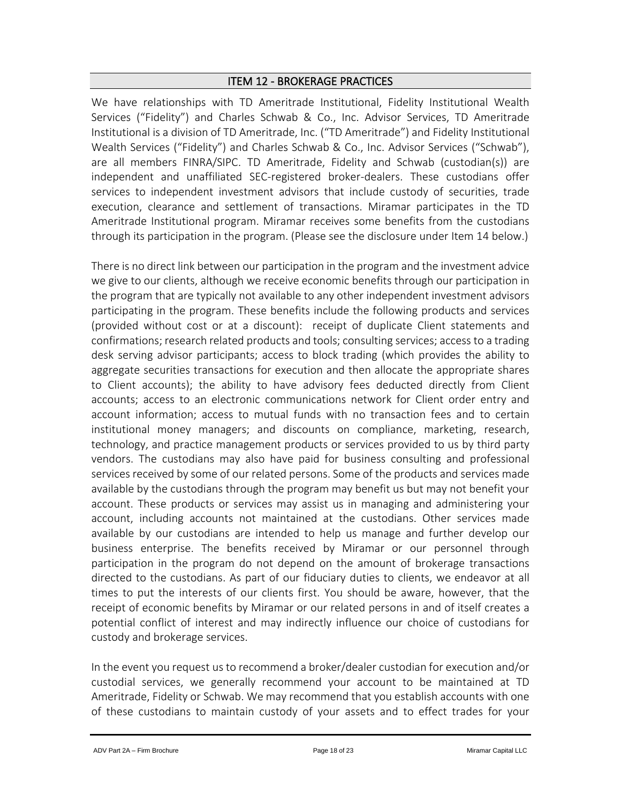## ITEM 12 - BROKERAGE PRACTICES

<span id="page-17-0"></span>We have relationships with TD Ameritrade Institutional, Fidelity Institutional Wealth Services ("Fidelity") and Charles Schwab & Co., Inc. Advisor Services, TD Ameritrade Institutional is a division of TD Ameritrade, Inc. ("TD Ameritrade") and Fidelity Institutional Wealth Services ("Fidelity") and Charles Schwab & Co., Inc. Advisor Services ("Schwab"), are all members FINRA/SIPC. TD Ameritrade, Fidelity and Schwab (custodian(s)) are independent and unaffiliated SEC-registered broker-dealers. These custodians offer services to independent investment advisors that include custody of securities, trade execution, clearance and settlement of transactions. Miramar participates in the TD Ameritrade Institutional program. Miramar receives some benefits from the custodians through its participation in the program. (Please see the disclosure under Item 14 below.)

There is no direct link between our participation in the program and the investment advice we give to our clients, although we receive economic benefits through our participation in the program that are typically not available to any other independent investment advisors participating in the program. These benefits include the following products and services (provided without cost or at a discount): receipt of duplicate Client statements and confirmations; research related products and tools; consulting services; access to a trading desk serving advisor participants; access to block trading (which provides the ability to aggregate securities transactions for execution and then allocate the appropriate shares to Client accounts); the ability to have advisory fees deducted directly from Client accounts; access to an electronic communications network for Client order entry and account information; access to mutual funds with no transaction fees and to certain institutional money managers; and discounts on compliance, marketing, research, technology, and practice management products or services provided to us by third party vendors. The custodians may also have paid for business consulting and professional services received by some of our related persons. Some of the products and services made available by the custodians through the program may benefit us but may not benefit your account. These products or services may assist us in managing and administering your account, including accounts not maintained at the custodians. Other services made available by our custodians are intended to help us manage and further develop our business enterprise. The benefits received by Miramar or our personnel through participation in the program do not depend on the amount of brokerage transactions directed to the custodians. As part of our fiduciary duties to clients, we endeavor at all times to put the interests of our clients first. You should be aware, however, that the receipt of economic benefits by Miramar or our related persons in and of itself creates a potential conflict of interest and may indirectly influence our choice of custodians for custody and brokerage services.

In the event you request us to recommend a broker/dealer custodian for execution and/or custodial services, we generally recommend your account to be maintained at TD Ameritrade, Fidelity or Schwab. We may recommend that you establish accounts with one of these custodians to maintain custody of your assets and to effect trades for your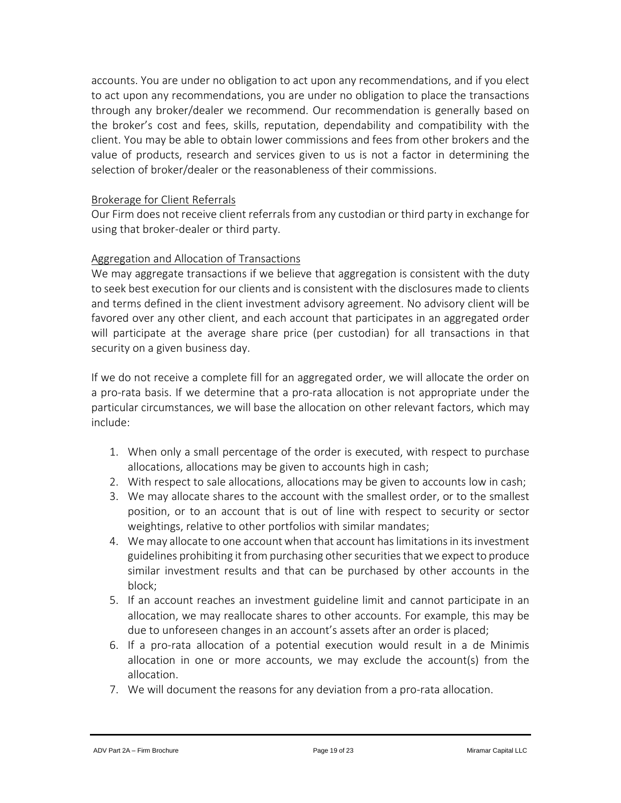accounts. You are under no obligation to act upon any recommendations, and if you elect to act upon any recommendations, you are under no obligation to place the transactions through any broker/dealer we recommend. Our recommendation is generally based on the broker's cost and fees, skills, reputation, dependability and compatibility with the client. You may be able to obtain lower commissions and fees from other brokers and the value of products, research and services given to us is not a factor in determining the selection of broker/dealer or the reasonableness of their commissions.

## Brokerage for Client Referrals

Our Firm does not receive client referrals from any custodian or third party in exchange for using that broker-dealer or third party.

# Aggregation and Allocation of Transactions

We may aggregate transactions if we believe that aggregation is consistent with the duty to seek best execution for our clients and is consistent with the disclosures made to clients and terms defined in the client investment advisory agreement. No advisory client will be favored over any other client, and each account that participates in an aggregated order will participate at the average share price (per custodian) for all transactions in that security on a given business day.

If we do not receive a complete fill for an aggregated order, we will allocate the order on a pro-rata basis. If we determine that a pro-rata allocation is not appropriate under the particular circumstances, we will base the allocation on other relevant factors, which may include:

- 1. When only a small percentage of the order is executed, with respect to purchase allocations, allocations may be given to accounts high in cash;
- 2. With respect to sale allocations, allocations may be given to accounts low in cash;
- 3. We may allocate shares to the account with the smallest order, or to the smallest position, or to an account that is out of line with respect to security or sector weightings, relative to other portfolios with similar mandates;
- 4. We may allocate to one account when that account has limitations in its investment guidelines prohibiting it from purchasing other securities that we expect to produce similar investment results and that can be purchased by other accounts in the block;
- 5. If an account reaches an investment guideline limit and cannot participate in an allocation, we may reallocate shares to other accounts. For example, this may be due to unforeseen changes in an account's assets after an order is placed;
- 6. If a pro-rata allocation of a potential execution would result in a de Minimis allocation in one or more accounts, we may exclude the account(s) from the allocation.
- 7. We will document the reasons for any deviation from a pro-rata allocation.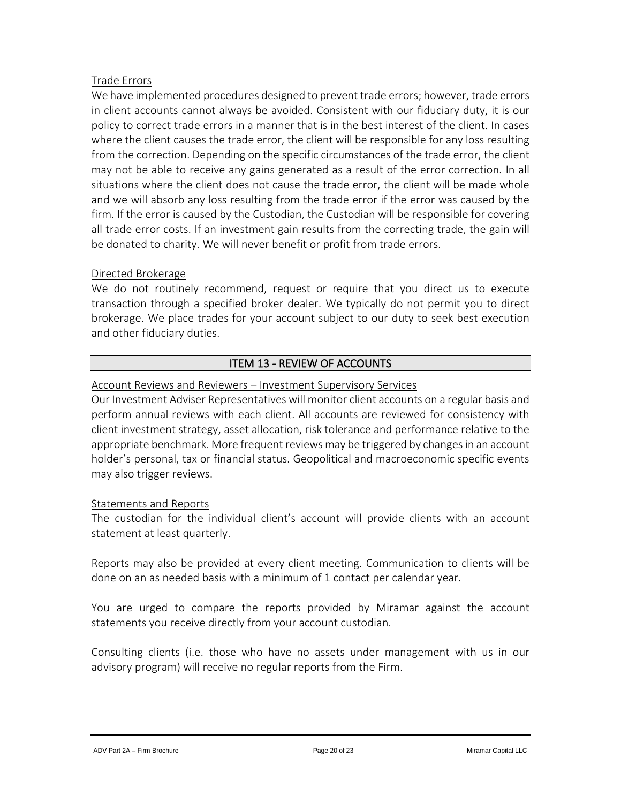## Trade Errors

We have implemented procedures designed to prevent trade errors; however, trade errors in client accounts cannot always be avoided. Consistent with our fiduciary duty, it is our policy to correct trade errors in a manner that is in the best interest of the client. In cases where the client causes the trade error, the client will be responsible for any loss resulting from the correction. Depending on the specific circumstances of the trade error, the client may not be able to receive any gains generated as a result of the error correction. In all situations where the client does not cause the trade error, the client will be made whole and we will absorb any loss resulting from the trade error if the error was caused by the firm. If the error is caused by the Custodian, the Custodian will be responsible for covering all trade error costs. If an investment gain results from the correcting trade, the gain will be donated to charity. We will never benefit or profit from trade errors.

#### Directed Brokerage

We do not routinely recommend, request or require that you direct us to execute transaction through a specified broker dealer. We typically do not permit you to direct brokerage. We place trades for your account subject to our duty to seek best execution and other fiduciary duties.

# ITEM 13 - REVIEW OF ACCOUNTS

#### <span id="page-19-0"></span>Account Reviews and Reviewers – Investment Supervisory Services

Our Investment Adviser Representatives will monitor client accounts on a regular basis and perform annual reviews with each client. All accounts are reviewed for consistency with client investment strategy, asset allocation, risk tolerance and performance relative to the appropriate benchmark. More frequent reviews may be triggered by changes in an account holder's personal, tax or financial status. Geopolitical and macroeconomic specific events may also trigger reviews.

#### Statements and Reports

The custodian for the individual client's account will provide clients with an account statement at least quarterly.

Reports may also be provided at every client meeting. Communication to clients will be done on an as needed basis with a minimum of 1 contact per calendar year.

You are urged to compare the reports provided by Miramar against the account statements you receive directly from your account custodian.

Consulting clients (i.e. those who have no assets under management with us in our advisory program) will receive no regular reports from the Firm.

ADV Part 2A – Firm Brochure **Page 20 of 23** Page 20 of 23 Miramar Capital LLC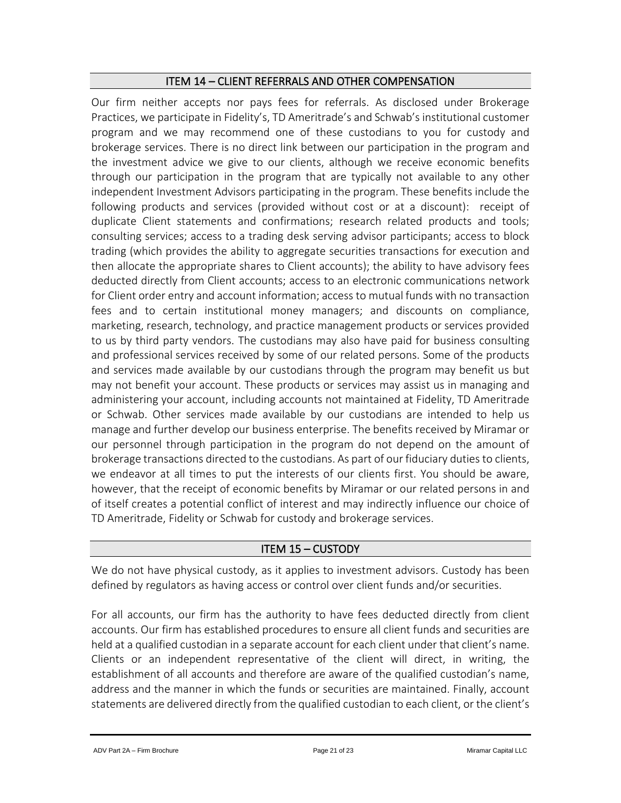#### ITEM 14 – CLIENT REFERRALS AND OTHER COMPENSATION

<span id="page-20-0"></span>Our firm neither accepts nor pays fees for referrals. As disclosed under Brokerage Practices, we participate in Fidelity's, TD Ameritrade's and Schwab's institutional customer program and we may recommend one of these custodians to you for custody and brokerage services. There is no direct link between our participation in the program and the investment advice we give to our clients, although we receive economic benefits through our participation in the program that are typically not available to any other independent Investment Advisors participating in the program. These benefits include the following products and services (provided without cost or at a discount): receipt of duplicate Client statements and confirmations; research related products and tools; consulting services; access to a trading desk serving advisor participants; access to block trading (which provides the ability to aggregate securities transactions for execution and then allocate the appropriate shares to Client accounts); the ability to have advisory fees deducted directly from Client accounts; access to an electronic communications network for Client order entry and account information; access to mutual funds with no transaction fees and to certain institutional money managers; and discounts on compliance, marketing, research, technology, and practice management products or services provided to us by third party vendors. The custodians may also have paid for business consulting and professional services received by some of our related persons. Some of the products and services made available by our custodians through the program may benefit us but may not benefit your account. These products or services may assist us in managing and administering your account, including accounts not maintained at Fidelity, TD Ameritrade or Schwab. Other services made available by our custodians are intended to help us manage and further develop our business enterprise. The benefits received by Miramar or our personnel through participation in the program do not depend on the amount of brokerage transactions directed to the custodians. As part of our fiduciary duties to clients, we endeavor at all times to put the interests of our clients first. You should be aware, however, that the receipt of economic benefits by Miramar or our related persons in and of itself creates a potential conflict of interest and may indirectly influence our choice of TD Ameritrade, Fidelity or Schwab for custody and brokerage services.

# ITEM 15 – CUSTODY

<span id="page-20-1"></span>We do not have physical custody, as it applies to investment advisors. Custody has been defined by regulators as having access or control over client funds and/or securities.

For all accounts, our firm has the authority to have fees deducted directly from client accounts. Our firm has established procedures to ensure all client funds and securities are held at a qualified custodian in a separate account for each client under that client's name. Clients or an independent representative of the client will direct, in writing, the establishment of all accounts and therefore are aware of the qualified custodian's name, address and the manner in which the funds or securities are maintained. Finally, account statements are delivered directly from the qualified custodian to each client, or the client's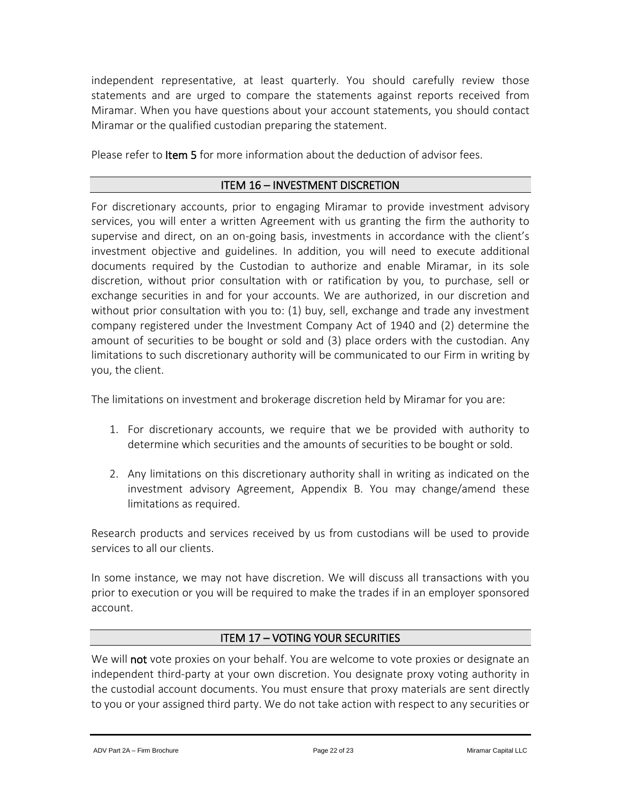independent representative, at least quarterly. You should carefully review those statements and are urged to compare the statements against reports received from Miramar. When you have questions about your account statements, you should contact Miramar or the qualified custodian preparing the statement.

Please refer to Item 5 for more information about the deduction of advisor fees.

#### ITEM 16 – INVESTMENT DISCRETION

<span id="page-21-0"></span>For discretionary accounts, prior to engaging Miramar to provide investment advisory services, you will enter a written Agreement with us granting the firm the authority to supervise and direct, on an on-going basis, investments in accordance with the client's investment objective and guidelines. In addition, you will need to execute additional documents required by the Custodian to authorize and enable Miramar, in its sole discretion, without prior consultation with or ratification by you, to purchase, sell or exchange securities in and for your accounts. We are authorized, in our discretion and without prior consultation with you to: (1) buy, sell, exchange and trade any investment company registered under the Investment Company Act of 1940 and (2) determine the amount of securities to be bought or sold and (3) place orders with the custodian. Any limitations to such discretionary authority will be communicated to our Firm in writing by you, the client.

The limitations on investment and brokerage discretion held by Miramar for you are:

- 1. For discretionary accounts, we require that we be provided with authority to determine which securities and the amounts of securities to be bought or sold.
- 2. Any limitations on this discretionary authority shall in writing as indicated on the investment advisory Agreement, Appendix B. You may change/amend these limitations as required.

Research products and services received by us from custodians will be used to provide services to all our clients.

In some instance, we may not have discretion. We will discuss all transactions with you prior to execution or you will be required to make the trades if in an employer sponsored account.

# ITEM 17 – VOTING YOUR SECURITIES

<span id="page-21-1"></span>We will not vote proxies on your behalf. You are welcome to vote proxies or designate an independent third-party at your own discretion. You designate proxy voting authority in the custodial account documents. You must ensure that proxy materials are sent directly to you or your assigned third party. We do not take action with respect to any securities or